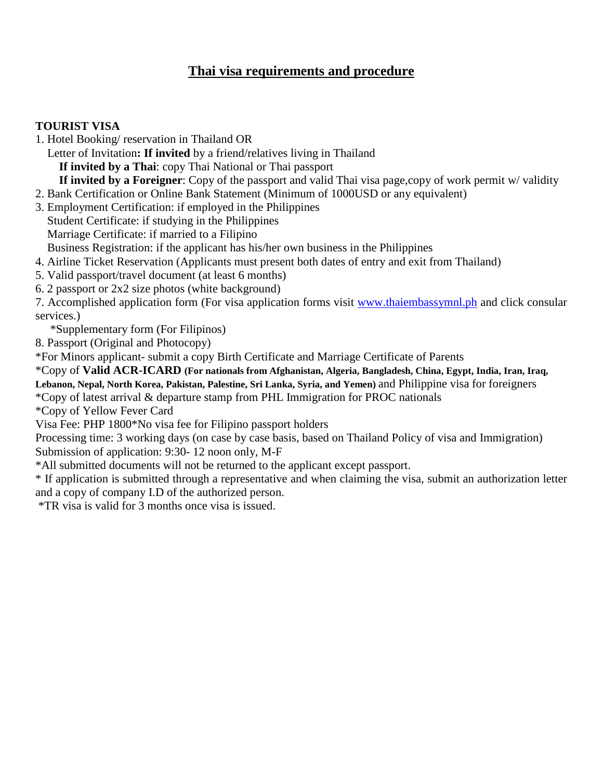# **Thai visa requirements and procedure**

#### **TOURIST VISA**

1. Hotel Booking/ reservation in Thailand OR

 Letter of Invitation**: If invited** by a friend/relatives living in Thailand **If invited by a Thai**: copy Thai National or Thai passport **If invited by a Foreigner**: Copy of the passport and valid Thai visa page,copy of work permit w/ validity

2. Bank Certification or Online Bank Statement (Minimum of 1000USD or any equivalent)

3. Employment Certification: if employed in the Philippines Student Certificate: if studying in the Philippines Marriage Certificate: if married to a Filipino Business Registration: if the applicant has his/her own business in the Philippines

4. Airline Ticket Reservation (Applicants must present both dates of entry and exit from Thailand)

5. Valid passport/travel document (at least 6 months)

6. 2 passport or 2x2 size photos (white background)

7. Accomplished application form (For visa application forms visit [www.thaiembassymnl.ph](http://www.thaiembassymnl.ph/) and click consular services.)

\*Supplementary form (For Filipinos)

8. Passport (Original and Photocopy)

\*For Minors applicant- submit a copy Birth Certificate and Marriage Certificate of Parents

\*Copy of **Valid ACR-ICARD (For nationals from Afghanistan, Algeria, Bangladesh, China, Egypt, India, Iran, Iraq, Lebanon, Nepal, North Korea, Pakistan, Palestine, Sri Lanka, Syria, and Yemen)** and Philippine visa for foreigners

\*Copy of latest arrival & departure stamp from PHL Immigration for PROC nationals

\*Copy of Yellow Fever Card

Visa Fee: PHP 1800\*No visa fee for Filipino passport holders

Processing time: 3 working days (on case by case basis, based on Thailand Policy of visa and Immigration) Submission of application: 9:30- 12 noon only, M-F

\*All submitted documents will not be returned to the applicant except passport.

\* If application is submitted through a representative and when claiming the visa, submit an authorization letter and a copy of company I.D of the authorized person.

\*TR visa is valid for 3 months once visa is issued.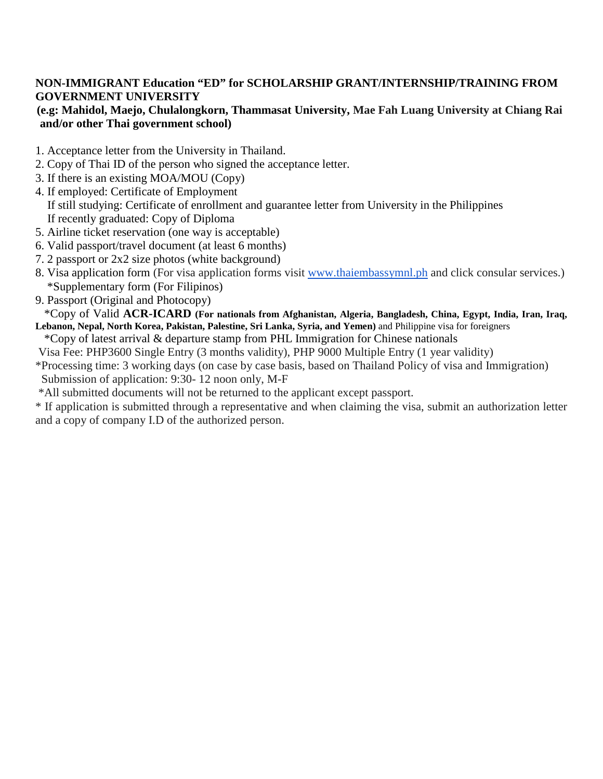## **NON-IMMIGRANT Education "ED" for SCHOLARSHIP GRANT/INTERNSHIP/TRAINING FROM GOVERNMENT UNIVERSITY**

### **(e.g: Mahidol, Maejo, Chulalongkorn, Thammasat University, Mae Fah Luang University at Chiang Rai and/or other Thai government school)**

- 1. Acceptance letter from the University in Thailand.
- 2. Copy of Thai ID of the person who signed the acceptance letter.
- 3. If there is an existing MOA/MOU (Copy)
- 4. If employed: Certificate of Employment If still studying: Certificate of enrollment and guarantee letter from University in the Philippines If recently graduated: Copy of Diploma
- 5. Airline ticket reservation (one way is acceptable)
- 6. Valid passport/travel document (at least 6 months)
- 7. 2 passport or 2x2 size photos (white background)
- 8. Visa application form (For visa application forms visit [www.thaiembassymnl.ph](http://www.thaiembassymnl.ph/) and click consular services.) \*Supplementary form (For Filipinos)
- 9. Passport (Original and Photocopy)

 \*Copy of Valid **ACR-ICARD (For nationals from Afghanistan, Algeria, Bangladesh, China, Egypt, India, Iran, Iraq, Lebanon, Nepal, North Korea, Pakistan, Palestine, Sri Lanka, Syria, and Yemen)** and Philippine visa for foreigners

\*Copy of latest arrival & departure stamp from PHL Immigration for Chinese nationals

Visa Fee: PHP3600 Single Entry (3 months validity), PHP 9000 Multiple Entry (1 year validity)

\*Processing time: 3 working days (on case by case basis, based on Thailand Policy of visa and Immigration) Submission of application: 9:30- 12 noon only, M-F

\*All submitted documents will not be returned to the applicant except passport.

\* If application is submitted through a representative and when claiming the visa, submit an authorization letter and a copy of company I.D of the authorized person.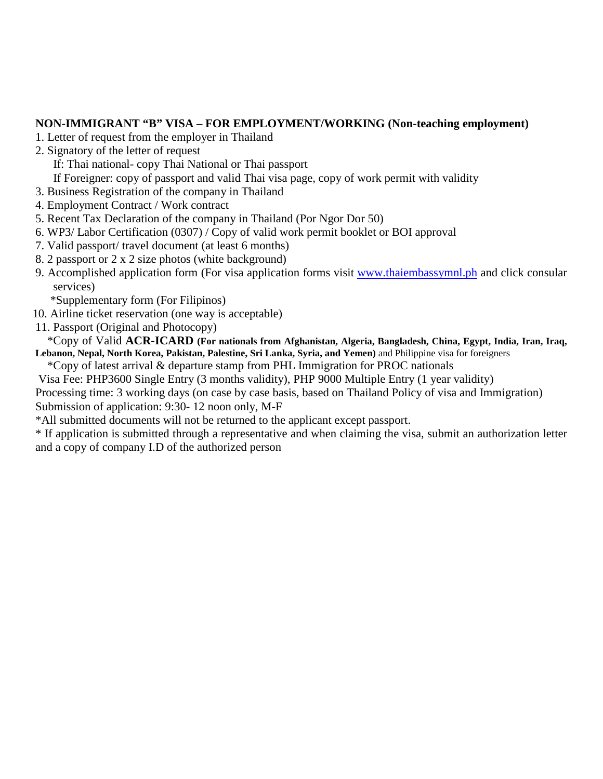#### **NON-IMMIGRANT "B" VISA – FOR EMPLOYMENT/WORKING (Non-teaching employment)**

- 1. Letter of request from the employer in Thailand
- 2. Signatory of the letter of request
	- If: Thai national- copy Thai National or Thai passport
	- If Foreigner: copy of passport and valid Thai visa page, copy of work permit with validity
- 3. Business Registration of the company in Thailand
- 4. Employment Contract / Work contract
- 5. Recent Tax Declaration of the company in Thailand (Por Ngor Dor 50)
- 6. WP3/ Labor Certification (0307) / Copy of valid work permit booklet or BOI approval
- 7. Valid passport/ travel document (at least 6 months)
- 8. 2 passport or 2 x 2 size photos (white background)
- 9. Accomplished application form (For visa application forms visit [www.thaiembassymnl.ph](http://www.thaiembassymnl.ph/) and click consular services)
	- \*Supplementary form (For Filipinos)
- 10. Airline ticket reservation (one way is acceptable)
- 11. Passport (Original and Photocopy)

 \*Copy of Valid **ACR-ICARD (For nationals from Afghanistan, Algeria, Bangladesh, China, Egypt, India, Iran, Iraq, Lebanon, Nepal, North Korea, Pakistan, Palestine, Sri Lanka, Syria, and Yemen)** and Philippine visa for foreigners

\*Copy of latest arrival & departure stamp from PHL Immigration for PROC nationals

 Visa Fee: PHP3600 Single Entry (3 months validity), PHP 9000 Multiple Entry (1 year validity) Processing time: 3 working days (on case by case basis, based on Thailand Policy of visa and Immigration) Submission of application: 9:30- 12 noon only, M-F

\*All submitted documents will not be returned to the applicant except passport.

\* If application is submitted through a representative and when claiming the visa, submit an authorization letter and a copy of company I.D of the authorized person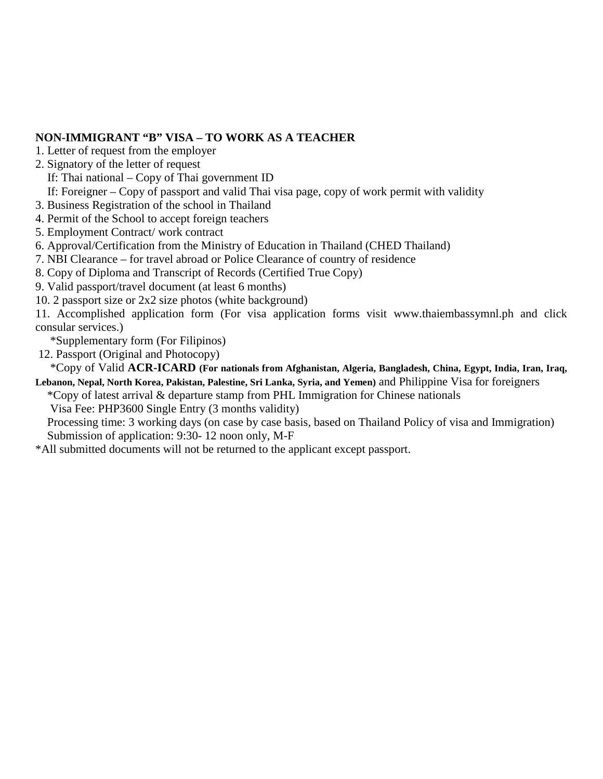### **NON-IMMIGRANT "B" VISA – TO WORK AS A TEACHER**

- 1. Letter of request from the employer
- 2. Signatory of the letter of request
	- If: Thai national Copy of Thai government ID
- If: Foreigner Copy of passport and valid Thai visa page, copy of work permit with validity
- 3. Business Registration of the school in Thailand
- 4. Permit of the School to accept foreign teachers
- 5. Employment Contract/ work contract
- 6. Approval/Certification from the Ministry of Education in Thailand (CHED Thailand)
- 7. NBI Clearance for travel abroad or Police Clearance of country of residence
- 8. Copy of Diploma and Transcript of Records (Certified True Copy)
- 9. Valid passport/travel document (at least 6 months)
- 10. 2 passport size or 2x2 size photos (white background)

11. Accomplished application form (For visa application forms visit www.thaiembassymnl.ph and click consular services.)

\*Supplementary form (For Filipinos)

12. Passport (Original and Photocopy)

 \*Copy of Valid **ACR-ICARD (For nationals from Afghanistan, Algeria, Bangladesh, China, Egypt, India, Iran, Iraq, Lebanon, Nepal, North Korea, Pakistan, Palestine, Sri Lanka, Syria, and Yemen)** and Philippine Visa for foreigners

 \*Copy of latest arrival & departure stamp from PHL Immigration for Chinese nationals Visa Fee: PHP3600 Single Entry (3 months validity)

 Processing time: 3 working days (on case by case basis, based on Thailand Policy of visa and Immigration) Submission of application: 9:30- 12 noon only, M-F

\*All submitted documents will not be returned to the applicant except passport.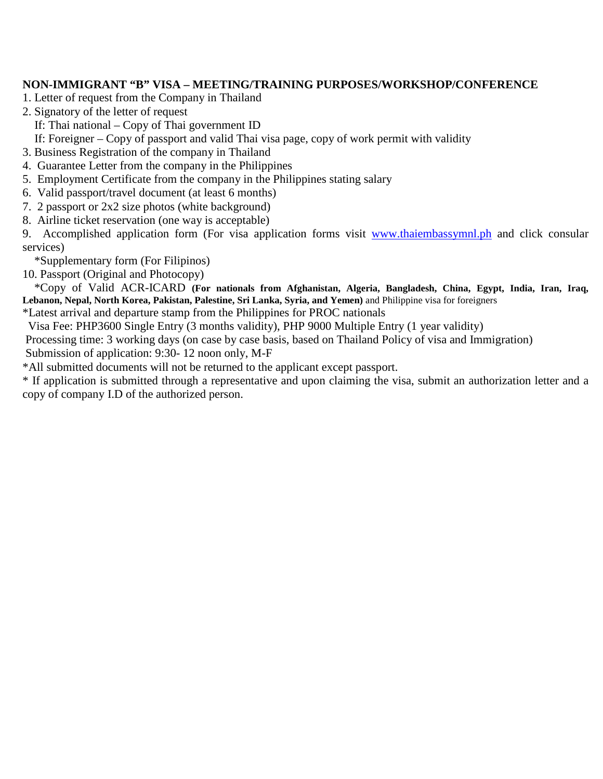#### **NON-IMMIGRANT "B" VISA – MEETING/TRAINING PURPOSES/WORKSHOP/CONFERENCE**

- 1. Letter of request from the Company in Thailand
- 2. Signatory of the letter of request
	- If: Thai national Copy of Thai government ID

If: Foreigner – Copy of passport and valid Thai visa page, copy of work permit with validity

- 3. Business Registration of the company in Thailand
- 4. Guarantee Letter from the company in the Philippines
- 5. Employment Certificate from the company in the Philippines stating salary
- 6. Valid passport/travel document (at least 6 months)
- 7. 2 passport or 2x2 size photos (white background)
- 8. Airline ticket reservation (one way is acceptable)

9. Accomplished application form (For visa application forms visit [www.thaiembassymnl.ph](http://www.thaiembassymnl.ph/) and click consular services)

\*Supplementary form (For Filipinos)

10. Passport (Original and Photocopy)

 \*Copy of Valid ACR-ICARD **(For nationals from Afghanistan, Algeria, Bangladesh, China, Egypt, India, Iran, Iraq, Lebanon, Nepal, North Korea, Pakistan, Palestine, Sri Lanka, Syria, and Yemen)** and Philippine visa for foreigners

\*Latest arrival and departure stamp from the Philippines for PROC nationals

Visa Fee: PHP3600 Single Entry (3 months validity), PHP 9000 Multiple Entry (1 year validity)

Processing time: 3 working days (on case by case basis, based on Thailand Policy of visa and Immigration) Submission of application: 9:30- 12 noon only, M-F

\*All submitted documents will not be returned to the applicant except passport.

\* If application is submitted through a representative and upon claiming the visa, submit an authorization letter and a copy of company I.D of the authorized person.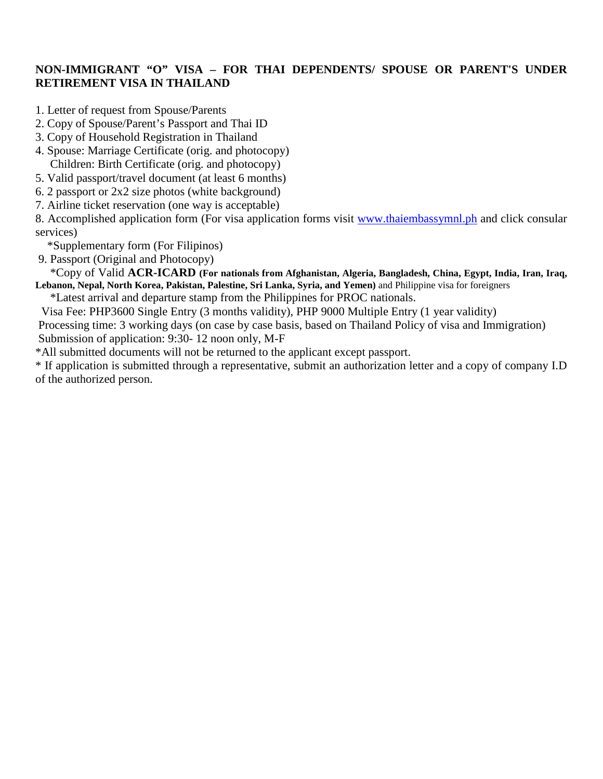### **NON-IMMIGRANT "O" VISA – FOR THAI DEPENDENTS/ SPOUSE OR PARENT'S UNDER RETIREMENT VISA IN THAILAND**

- 1. Letter of request from Spouse/Parents
- 2. Copy of Spouse/Parent's Passport and Thai ID
- 3. Copy of Household Registration in Thailand
- 4. Spouse: Marriage Certificate (orig. and photocopy) Children: Birth Certificate (orig. and photocopy)
- 5. Valid passport/travel document (at least 6 months)
- 6. 2 passport or 2x2 size photos (white background)
- 7. Airline ticket reservation (one way is acceptable)

8. Accomplished application form (For visa application forms visit [www.thaiembassymnl.ph](http://www.thaiembassymnl.ph/) and click consular services)

\*Supplementary form (For Filipinos)

9. Passport (Original and Photocopy)

 \*Copy of Valid **ACR-ICARD (For nationals from Afghanistan, Algeria, Bangladesh, China, Egypt, India, Iran, Iraq, Lebanon, Nepal, North Korea, Pakistan, Palestine, Sri Lanka, Syria, and Yemen)** and Philippine visa for foreigners

\*Latest arrival and departure stamp from the Philippines for PROC nationals.

 Visa Fee: PHP3600 Single Entry (3 months validity), PHP 9000 Multiple Entry (1 year validity) Processing time: 3 working days (on case by case basis, based on Thailand Policy of visa and Immigration) Submission of application: 9:30- 12 noon only, M-F

\*All submitted documents will not be returned to the applicant except passport.

\* If application is submitted through a representative, submit an authorization letter and a copy of company I.D of the authorized person.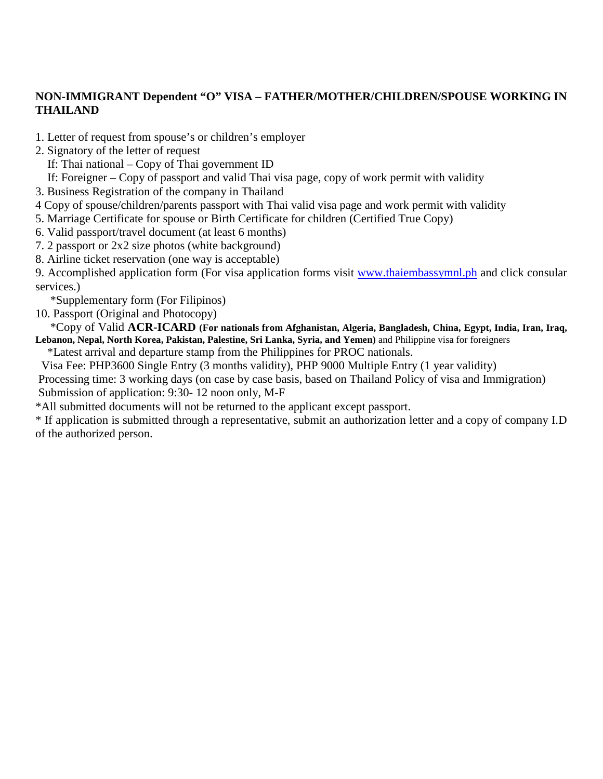### **NON-IMMIGRANT Dependent "O" VISA – FATHER/MOTHER/CHILDREN/SPOUSE WORKING IN THAILAND**

- 1. Letter of request from spouse's or children's employer
- 2. Signatory of the letter of request
	- If: Thai national Copy of Thai government ID
	- If: Foreigner Copy of passport and valid Thai visa page, copy of work permit with validity
- 3. Business Registration of the company in Thailand
- 4 Copy of spouse/children/parents passport with Thai valid visa page and work permit with validity
- 5. Marriage Certificate for spouse or Birth Certificate for children (Certified True Copy)
- 6. Valid passport/travel document (at least 6 months)
- 7. 2 passport or 2x2 size photos (white background)
- 8. Airline ticket reservation (one way is acceptable)

9. Accomplished application form (For visa application forms visit [www.thaiembassymnl.ph](http://www.thaiembassymnl.ph/) and click consular services.)

\*Supplementary form (For Filipinos)

10. Passport (Original and Photocopy)

 \*Copy of Valid **ACR-ICARD (For nationals from Afghanistan, Algeria, Bangladesh, China, Egypt, India, Iran, Iraq, Lebanon, Nepal, North Korea, Pakistan, Palestine, Sri Lanka, Syria, and Yemen)** and Philippine visa for foreigners

\*Latest arrival and departure stamp from the Philippines for PROC nationals.

 Visa Fee: PHP3600 Single Entry (3 months validity), PHP 9000 Multiple Entry (1 year validity) Processing time: 3 working days (on case by case basis, based on Thailand Policy of visa and Immigration) Submission of application: 9:30- 12 noon only, M-F

\*All submitted documents will not be returned to the applicant except passport.

\* If application is submitted through a representative, submit an authorization letter and a copy of company I.D of the authorized person.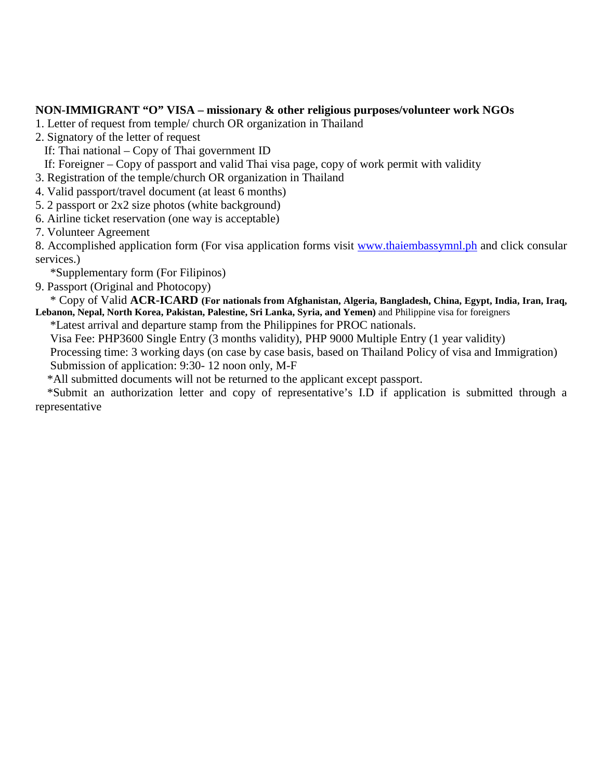#### **NON-IMMIGRANT "O" VISA – missionary & other religious purposes/volunteer work NGOs**

1. Letter of request from temple/ church OR organization in Thailand

2. Signatory of the letter of request

If: Thai national – Copy of Thai government ID

If: Foreigner – Copy of passport and valid Thai visa page, copy of work permit with validity

3. Registration of the temple/church OR organization in Thailand

4. Valid passport/travel document (at least 6 months)

5. 2 passport or 2x2 size photos (white background)

6. Airline ticket reservation (one way is acceptable)

7. Volunteer Agreement

8. Accomplished application form (For visa application forms visit [www.thaiembassymnl.ph](http://www.thaiembassymnl.ph/) and click consular services.)

\*Supplementary form (For Filipinos)

9. Passport (Original and Photocopy)

 \* Copy of Valid **ACR-ICARD (For nationals from Afghanistan, Algeria, Bangladesh, China, Egypt, India, Iran, Iraq, Lebanon, Nepal, North Korea, Pakistan, Palestine, Sri Lanka, Syria, and Yemen)** and Philippine visa for foreigners

\*Latest arrival and departure stamp from the Philippines for PROC nationals.

Visa Fee: PHP3600 Single Entry (3 months validity), PHP 9000 Multiple Entry (1 year validity)

 Processing time: 3 working days (on case by case basis, based on Thailand Policy of visa and Immigration) Submission of application: 9:30- 12 noon only, M-F

\*All submitted documents will not be returned to the applicant except passport.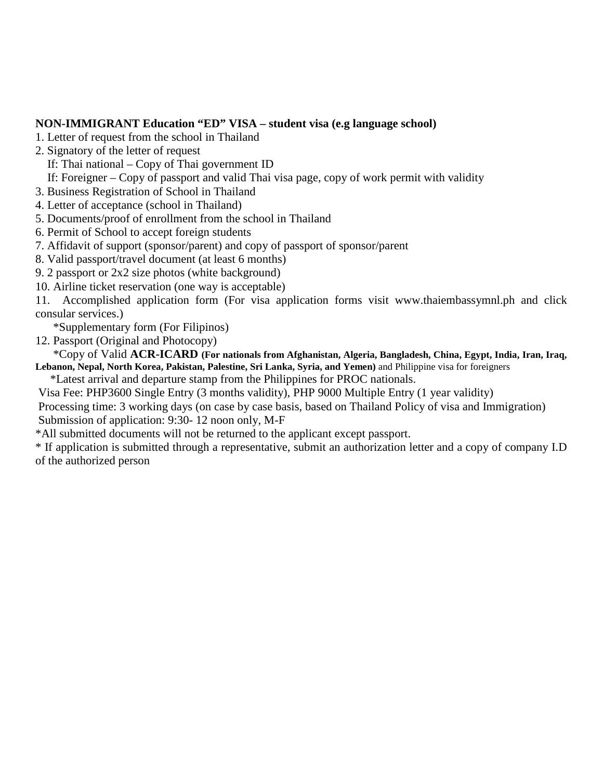### **NON-IMMIGRANT Education "ED" VISA – student visa (e.g language school)**

- 1. Letter of request from the school in Thailand
- 2. Signatory of the letter of request
	- If: Thai national Copy of Thai government ID
- If: Foreigner Copy of passport and valid Thai visa page, copy of work permit with validity
- 3. Business Registration of School in Thailand
- 4. Letter of acceptance (school in Thailand)
- 5. Documents/proof of enrollment from the school in Thailand
- 6. Permit of School to accept foreign students
- 7. Affidavit of support (sponsor/parent) and copy of passport of sponsor/parent
- 8. Valid passport/travel document (at least 6 months)
- 9. 2 passport or 2x2 size photos (white background)
- 10. Airline ticket reservation (one way is acceptable)

11. Accomplished application form (For visa application forms visit www.thaiembassymnl.ph and click consular services.)

\*Supplementary form (For Filipinos)

12. Passport (Original and Photocopy)

 \*Copy of Valid **ACR-ICARD (For nationals from Afghanistan, Algeria, Bangladesh, China, Egypt, India, Iran, Iraq, Lebanon, Nepal, North Korea, Pakistan, Palestine, Sri Lanka, Syria, and Yemen)** and Philippine visa for foreigners

\*Latest arrival and departure stamp from the Philippines for PROC nationals.

Visa Fee: PHP3600 Single Entry (3 months validity), PHP 9000 Multiple Entry (1 year validity) Processing time: 3 working days (on case by case basis, based on Thailand Policy of visa and Immigration)

Submission of application: 9:30- 12 noon only, M-F

\*All submitted documents will not be returned to the applicant except passport.

\* If application is submitted through a representative, submit an authorization letter and a copy of company I.D of the authorized person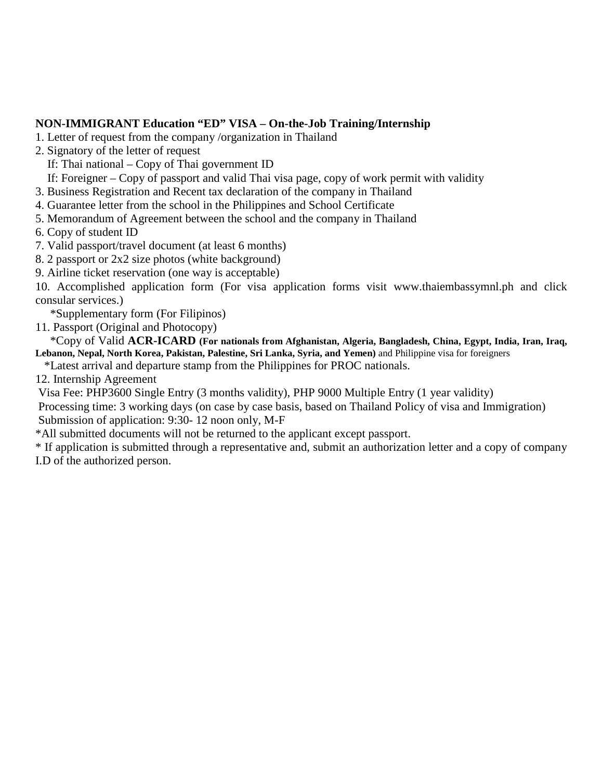### **NON-IMMIGRANT Education "ED" VISA – On-the-Job Training/Internship**

- 1. Letter of request from the company /organization in Thailand
- 2. Signatory of the letter of request
	- If: Thai national Copy of Thai government ID
	- If: Foreigner Copy of passport and valid Thai visa page, copy of work permit with validity
- 3. Business Registration and Recent tax declaration of the company in Thailand
- 4. Guarantee letter from the school in the Philippines and School Certificate
- 5. Memorandum of Agreement between the school and the company in Thailand
- 6. Copy of student ID
- 7. Valid passport/travel document (at least 6 months)
- 8. 2 passport or 2x2 size photos (white background)
- 9. Airline ticket reservation (one way is acceptable)

10. Accomplished application form (For visa application forms visit www.thaiembassymnl.ph and click consular services.)

\*Supplementary form (For Filipinos)

11. Passport (Original and Photocopy)

 \*Copy of Valid **ACR-ICARD (For nationals from Afghanistan, Algeria, Bangladesh, China, Egypt, India, Iran, Iraq, Lebanon, Nepal, North Korea, Pakistan, Palestine, Sri Lanka, Syria, and Yemen)** and Philippine visa for foreigners

\*Latest arrival and departure stamp from the Philippines for PROC nationals.

12. Internship Agreement

Visa Fee: PHP3600 Single Entry (3 months validity), PHP 9000 Multiple Entry (1 year validity)

Processing time: 3 working days (on case by case basis, based on Thailand Policy of visa and Immigration) Submission of application: 9:30- 12 noon only, M-F

\*All submitted documents will not be returned to the applicant except passport.

\* If application is submitted through a representative and, submit an authorization letter and a copy of company I.D of the authorized person.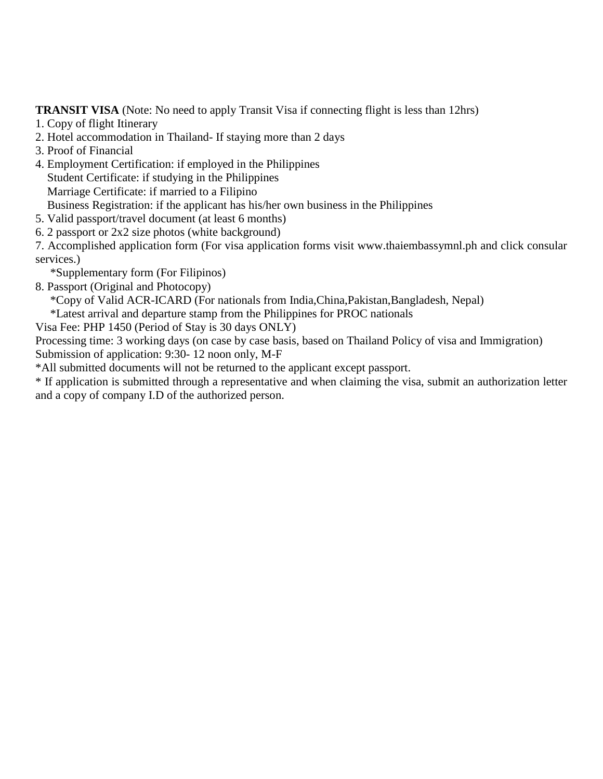**TRANSIT VISA** (Note: No need to apply Transit Visa if connecting flight is less than 12hrs)

- 1. Copy of flight Itinerary
- 2. Hotel accommodation in Thailand- If staying more than 2 days
- 3. Proof of Financial
- 4. Employment Certification: if employed in the Philippines

Student Certificate: if studying in the Philippines

- Marriage Certificate: if married to a Filipino
- Business Registration: if the applicant has his/her own business in the Philippines
- 5. Valid passport/travel document (at least 6 months)
- 6. 2 passport or 2x2 size photos (white background)

7. Accomplished application form (For visa application forms visit www.thaiembassymnl.ph and click consular services.)

- \*Supplementary form (For Filipinos)
- 8. Passport (Original and Photocopy)

\*Copy of Valid ACR-ICARD (For nationals from India,China,Pakistan,Bangladesh, Nepal)

\*Latest arrival and departure stamp from the Philippines for PROC nationals

Visa Fee: PHP 1450 (Period of Stay is 30 days ONLY)

Processing time: 3 working days (on case by case basis, based on Thailand Policy of visa and Immigration) Submission of application: 9:30- 12 noon only, M-F

\*All submitted documents will not be returned to the applicant except passport.

\* If application is submitted through a representative and when claiming the visa, submit an authorization letter and a copy of company I.D of the authorized person.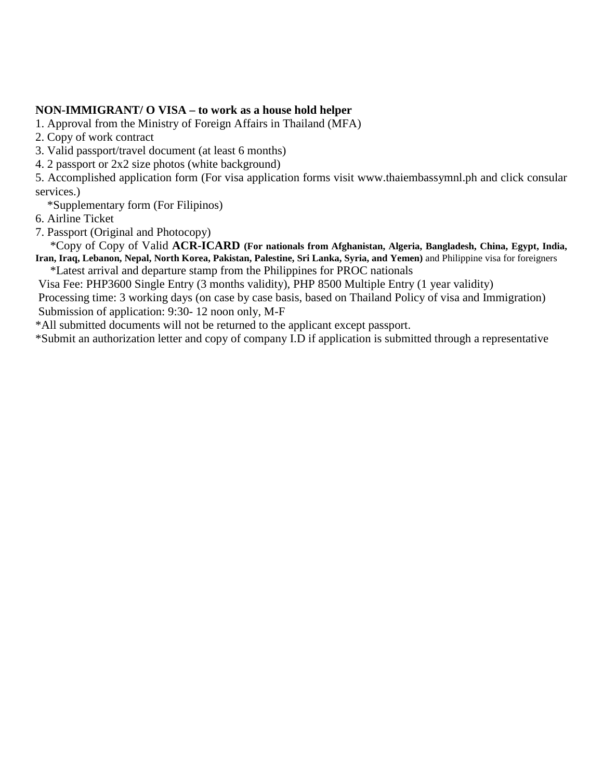#### **NON-IMMIGRANT/ O VISA – to work as a house hold helper**

1. Approval from the Ministry of Foreign Affairs in Thailand (MFA)

2. Copy of work contract

3. Valid passport/travel document (at least 6 months)

4. 2 passport or 2x2 size photos (white background)

5. Accomplished application form (For visa application forms visit www.thaiembassymnl.ph and click consular services.)

\*Supplementary form (For Filipinos)

6. Airline Ticket

7. Passport (Original and Photocopy)

 \*Copy of Copy of Valid **ACR-ICARD (For nationals from Afghanistan, Algeria, Bangladesh, China, Egypt, India, Iran, Iraq, Lebanon, Nepal, North Korea, Pakistan, Palestine, Sri Lanka, Syria, and Yemen)** and Philippine visa for foreigners

\*Latest arrival and departure stamp from the Philippines for PROC nationals

Visa Fee: PHP3600 Single Entry (3 months validity), PHP 8500 Multiple Entry (1 year validity) Processing time: 3 working days (on case by case basis, based on Thailand Policy of visa and Immigration) Submission of application: 9:30- 12 noon only, M-F

\*All submitted documents will not be returned to the applicant except passport.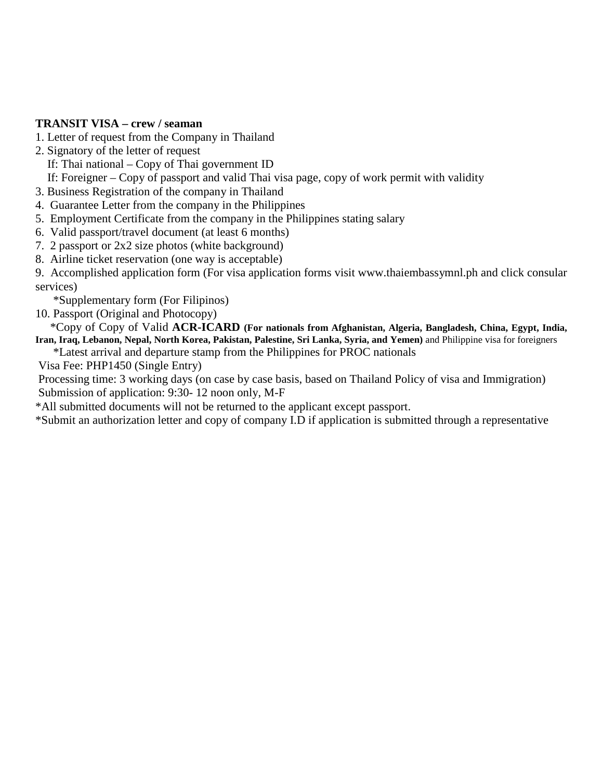#### **TRANSIT VISA – crew / seaman**

- 1. Letter of request from the Company in Thailand
- 2. Signatory of the letter of request

If: Thai national – Copy of Thai government ID

If: Foreigner – Copy of passport and valid Thai visa page, copy of work permit with validity

3. Business Registration of the company in Thailand

- 4. Guarantee Letter from the company in the Philippines
- 5. Employment Certificate from the company in the Philippines stating salary
- 6. Valid passport/travel document (at least 6 months)
- 7. 2 passport or 2x2 size photos (white background)
- 8. Airline ticket reservation (one way is acceptable)

9. Accomplished application form (For visa application forms visit www.thaiembassymnl.ph and click consular services)

\*Supplementary form (For Filipinos)

10. Passport (Original and Photocopy)

 \*Copy of Copy of Valid **ACR-ICARD (For nationals from Afghanistan, Algeria, Bangladesh, China, Egypt, India, Iran, Iraq, Lebanon, Nepal, North Korea, Pakistan, Palestine, Sri Lanka, Syria, and Yemen)** and Philippine visa for foreigners

\*Latest arrival and departure stamp from the Philippines for PROC nationals

Visa Fee: PHP1450 (Single Entry)

Processing time: 3 working days (on case by case basis, based on Thailand Policy of visa and Immigration) Submission of application: 9:30- 12 noon only, M-F

\*All submitted documents will not be returned to the applicant except passport.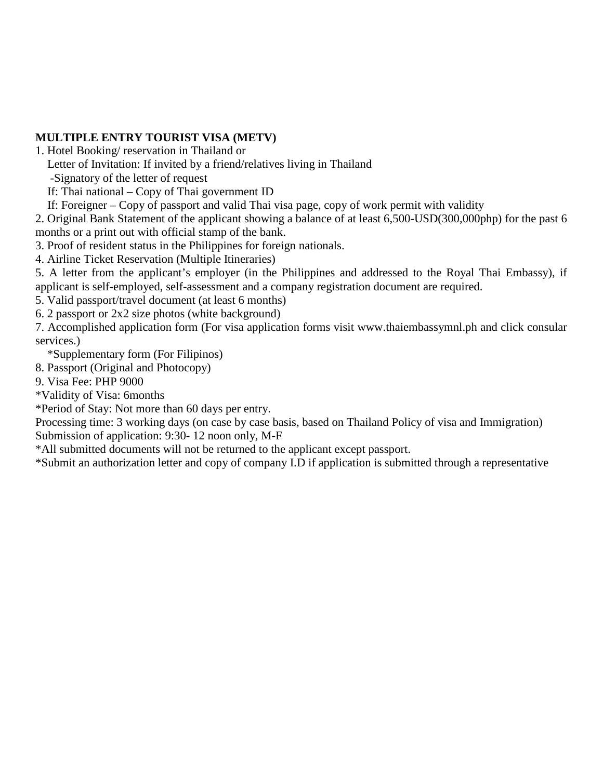### **MULTIPLE ENTRY TOURIST VISA (METV)**

- 1. Hotel Booking/ reservation in Thailand or
	- Letter of Invitation: If invited by a friend/relatives living in Thailand
	- -Signatory of the letter of request
	- If: Thai national Copy of Thai government ID
	- If: Foreigner Copy of passport and valid Thai visa page, copy of work permit with validity

2. Original Bank Statement of the applicant showing a balance of at least 6,500-USD(300,000php) for the past 6 months or a print out with official stamp of the bank.

3. Proof of resident status in the Philippines for foreign nationals.

4. Airline Ticket Reservation (Multiple Itineraries)

5. A letter from the applicant's employer (in the Philippines and addressed to the Royal Thai Embassy), if applicant is self-employed, self-assessment and a company registration document are required.

5. Valid passport/travel document (at least 6 months)

6. 2 passport or 2x2 size photos (white background)

7. Accomplished application form (For visa application forms visit www.thaiembassymnl.ph and click consular services.)

\*Supplementary form (For Filipinos)

- 8. Passport (Original and Photocopy)
- 9. Visa Fee: PHP 9000

\*Validity of Visa: 6months

\*Period of Stay: Not more than 60 days per entry.

Processing time: 3 working days (on case by case basis, based on Thailand Policy of visa and Immigration) Submission of application: 9:30- 12 noon only, M-F

\*All submitted documents will not be returned to the applicant except passport.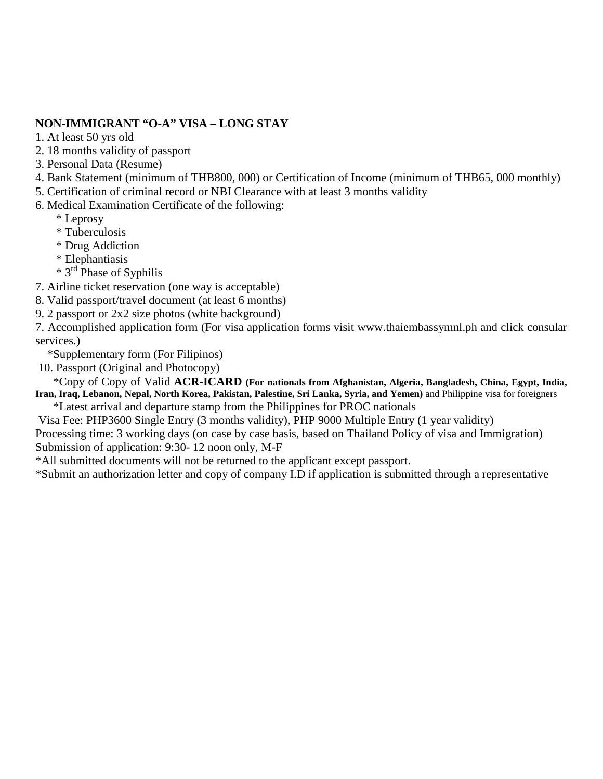### **NON-IMMIGRANT "O-A" VISA – LONG STAY**

1. At least 50 yrs old

2. 18 months validity of passport

3. Personal Data (Resume)

4. Bank Statement (minimum of THB800, 000) or Certification of Income (minimum of THB65, 000 monthly)

5. Certification of criminal record or NBI Clearance with at least 3 months validity

6. Medical Examination Certificate of the following:

\* Leprosy

\* Tuberculosis

\* Drug Addiction

\* Elephantiasis

\* 3rd Phase of Syphilis

7. Airline ticket reservation (one way is acceptable)

8. Valid passport/travel document (at least 6 months)

9. 2 passport or 2x2 size photos (white background)

7. Accomplished application form (For visa application forms visit www.thaiembassymnl.ph and click consular services.)

\*Supplementary form (For Filipinos)

10. Passport (Original and Photocopy)

 \*Copy of Copy of Valid **ACR-ICARD (For nationals from Afghanistan, Algeria, Bangladesh, China, Egypt, India, Iran, Iraq, Lebanon, Nepal, North Korea, Pakistan, Palestine, Sri Lanka, Syria, and Yemen)** and Philippine visa for foreigners

\*Latest arrival and departure stamp from the Philippines for PROC nationals

 Visa Fee: PHP3600 Single Entry (3 months validity), PHP 9000 Multiple Entry (1 year validity) Processing time: 3 working days (on case by case basis, based on Thailand Policy of visa and Immigration) Submission of application: 9:30- 12 noon only, M-F

\*All submitted documents will not be returned to the applicant except passport.